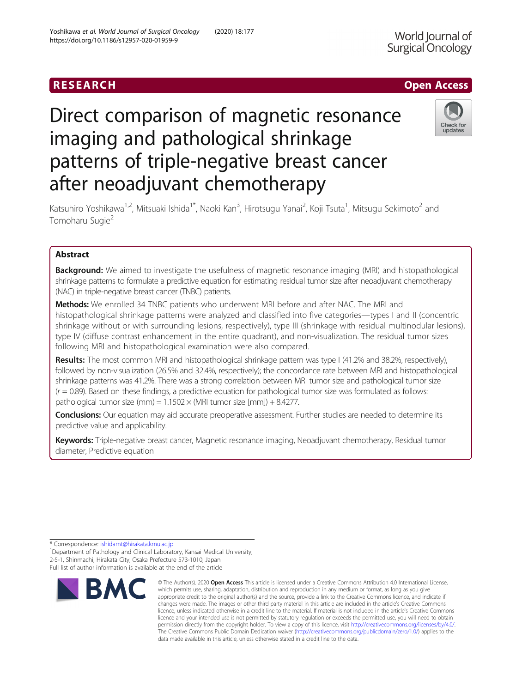# World Journal of Surgical Oncology

# RESEARCH **RESEARCH CHANNEL CONTROL**

# Check for undates

# after neoadjuvant chemotherapy Katsuhiro Yoshikawa<sup>1,2</sup>, Mitsuaki Ishida<sup>1\*</sup>, Naoki Kan<sup>3</sup>, Hirotsugu Yanai<sup>2</sup>, Koji Tsuta<sup>1</sup>, Mitsugu Sekimoto<sup>2</sup> and Tomoharu Sugie<sup>2</sup>

Direct comparison of magnetic resonance

patterns of triple-negative breast cancer

imaging and pathological shrinkage

# Abstract

**Background:** We aimed to investigate the usefulness of magnetic resonance imaging (MRI) and histopathological shrinkage patterns to formulate a predictive equation for estimating residual tumor size after neoadjuvant chemotherapy (NAC) in triple-negative breast cancer (TNBC) patients.

**Methods:** We enrolled 34 TNBC patients who underwent MRI before and after NAC. The MRI and histopathological shrinkage patterns were analyzed and classified into five categories—types I and II (concentric shrinkage without or with surrounding lesions, respectively), type III (shrinkage with residual multinodular lesions), type IV (diffuse contrast enhancement in the entire quadrant), and non-visualization. The residual tumor sizes following MRI and histopathological examination were also compared.

Results: The most common MRI and histopathological shrinkage pattern was type I (41.2% and 38.2%, respectively), followed by non-visualization (26.5% and 32.4%, respectively); the concordance rate between MRI and histopathological shrinkage patterns was 41.2%. There was a strong correlation between MRI tumor size and pathological tumor size  $(r = 0.89)$ . Based on these findings, a predictive equation for pathological tumor size was formulated as follows: pathological tumor size (mm) =  $1.1502 \times (MRI$  tumor size [mm]) + 8.4277.

Conclusions: Our equation may aid accurate preoperative assessment. Further studies are needed to determine its predictive value and applicability.

Keywords: Triple-negative breast cancer, Magnetic resonance imaging, Neoadjuvant chemotherapy, Residual tumor diameter, Predictive equation

\* Correspondence: [ishidamt@hirakata.kmu.ac.jp](mailto:ishidamt@hirakata.kmu.ac.jp) <sup>1</sup>

<sup>1</sup> Department of Pathology and Clinical Laboratory, Kansai Medical University, 2-5-1, Shinmachi, Hirakata City, Osaka Prefecture 573-1010, Japan Full list of author information is available at the end of the article



<sup>©</sup> The Author(s), 2020 **Open Access** This article is licensed under a Creative Commons Attribution 4.0 International License, which permits use, sharing, adaptation, distribution and reproduction in any medium or format, as long as you give appropriate credit to the original author(s) and the source, provide a link to the Creative Commons licence, and indicate if changes were made. The images or other third party material in this article are included in the article's Creative Commons licence, unless indicated otherwise in a credit line to the material. If material is not included in the article's Creative Commons licence and your intended use is not permitted by statutory regulation or exceeds the permitted use, you will need to obtain permission directly from the copyright holder. To view a copy of this licence, visit [http://creativecommons.org/licenses/by/4.0/.](http://creativecommons.org/licenses/by/4.0/) The Creative Commons Public Domain Dedication waiver [\(http://creativecommons.org/publicdomain/zero/1.0/](http://creativecommons.org/publicdomain/zero/1.0/)) applies to the data made available in this article, unless otherwise stated in a credit line to the data.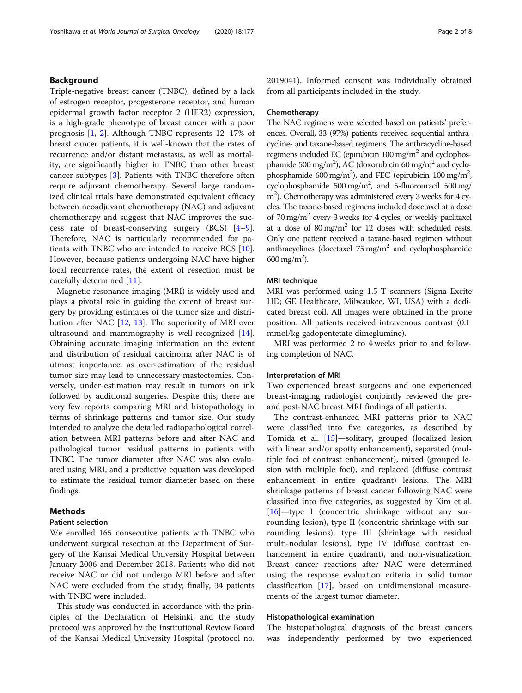# Background

Triple-negative breast cancer (TNBC), defined by a lack of estrogen receptor, progesterone receptor, and human epidermal growth factor receptor 2 (HER2) expression, is a high-grade phenotype of breast cancer with a poor prognosis [\[1,](#page-6-0) [2\]](#page-6-0). Although TNBC represents 12–17% of breast cancer patients, it is well-known that the rates of recurrence and/or distant metastasis, as well as mortality, are significantly higher in TNBC than other breast cancer subtypes [[3](#page-6-0)]. Patients with TNBC therefore often require adjuvant chemotherapy. Several large randomized clinical trials have demonstrated equivalent efficacy between neoadjuvant chemotherapy (NAC) and adjuvant chemotherapy and suggest that NAC improves the success rate of breast-conserving surgery (BCS) [\[4](#page-6-0)–[9](#page-7-0)]. Therefore, NAC is particularly recommended for patients with TNBC who are intended to receive BCS [\[10](#page-7-0)]. However, because patients undergoing NAC have higher local recurrence rates, the extent of resection must be carefully determined [[11\]](#page-7-0).

Magnetic resonance imaging (MRI) is widely used and plays a pivotal role in guiding the extent of breast surgery by providing estimates of the tumor size and distribution after NAC [\[12](#page-7-0), [13\]](#page-7-0). The superiority of MRI over ultrasound and mammography is well-recognized [\[14](#page-7-0)]. Obtaining accurate imaging information on the extent and distribution of residual carcinoma after NAC is of utmost importance, as over-estimation of the residual tumor size may lead to unnecessary mastectomies. Conversely, under-estimation may result in tumors on ink followed by additional surgeries. Despite this, there are very few reports comparing MRI and histopathology in terms of shrinkage patterns and tumor size. Our study intended to analyze the detailed radiopathological correlation between MRI patterns before and after NAC and pathological tumor residual patterns in patients with TNBC. The tumor diameter after NAC was also evaluated using MRI, and a predictive equation was developed to estimate the residual tumor diameter based on these findings.

# Methods

# Patient selection

We enrolled 165 consecutive patients with TNBC who underwent surgical resection at the Department of Surgery of the Kansai Medical University Hospital between January 2006 and December 2018. Patients who did not receive NAC or did not undergo MRI before and after NAC were excluded from the study; finally, 34 patients with TNBC were included.

This study was conducted in accordance with the principles of the Declaration of Helsinki, and the study protocol was approved by the Institutional Review Board of the Kansai Medical University Hospital (protocol no. 2019041). Informed consent was individually obtained from all participants included in the study.

# Chemotherapy

The NAC regimens were selected based on patients' preferences. Overall, 33 (97%) patients received sequential anthracycline- and taxane-based regimens. The anthracycline-based regimens included EC (epirubicin  $100 \text{ mg/m}^2$  and cyclophosphamide 500 mg/m<sup>2</sup>), AC (doxorubicin 60 mg/m<sup>2</sup> and cyclophosphamide 600 mg/m<sup>2</sup>), and FEC (epirubicin 100 mg/m<sup>2</sup>, cyclophosphamide  $500 \text{ mg/m}^2$ , and  $5$ -fluorouracil  $500 \text{ mg/m}^2$ m<sup>2</sup>). Chemotherapy was administered every 3 weeks for 4 cycles. The taxane-based regimens included docetaxel at a dose of 70 mg/m<sup>2</sup> every 3 weeks for 4 cycles, or weekly paclitaxel at a dose of  $80 \text{ mg/m}^2$  for 12 doses with scheduled rests. Only one patient received a taxane-based regimen without anthracyclines (docetaxel  $75 \text{ mg/m}^2$  and cyclophosphamide  $600 \,\mathrm{mg/m^2}$ ).

# MRI technique

MRI was performed using 1.5-T scanners (Signa Excite HD; GE Healthcare, Milwaukee, WI, USA) with a dedicated breast coil. All images were obtained in the prone position. All patients received intravenous contrast (0.1 mmol/kg gadopentetate dimeglumine).

MRI was performed 2 to 4 weeks prior to and following completion of NAC.

#### Interpretation of MRI

Two experienced breast surgeons and one experienced breast-imaging radiologist conjointly reviewed the preand post-NAC breast MRI findings of all patients.

The contrast-enhanced MRI patterns prior to NAC were classified into five categories, as described by Tomida et al. [[15](#page-7-0)]—solitary, grouped (localized lesion with linear and/or spotty enhancement), separated (multiple foci of contrast enhancement), mixed (grouped lesion with multiple foci), and replaced (diffuse contrast enhancement in entire quadrant) lesions. The MRI shrinkage patterns of breast cancer following NAC were classified into five categories, as suggested by Kim et al.  $[16]$  $[16]$ —type I (concentric shrinkage without any surrounding lesion), type II (concentric shrinkage with surrounding lesions), type III (shrinkage with residual multi-nodular lesions), type IV (diffuse contrast enhancement in entire quadrant), and non-visualization. Breast cancer reactions after NAC were determined using the response evaluation criteria in solid tumor classification [[17\]](#page-7-0), based on unidimensional measurements of the largest tumor diameter.

# Histopathological examination

The histopathological diagnosis of the breast cancers was independently performed by two experienced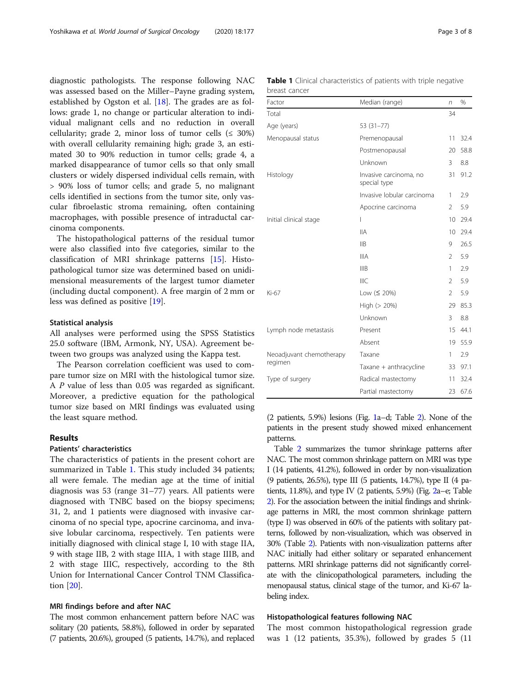diagnostic pathologists. The response following NAC was assessed based on the Miller–Payne grading system, established by Ogston et al. [\[18](#page-7-0)]. The grades are as follows: grade 1, no change or particular alteration to individual malignant cells and no reduction in overall cellularity; grade 2, minor loss of tumor cells  $( \leq 30\%)$ with overall cellularity remaining high; grade 3, an estimated 30 to 90% reduction in tumor cells; grade 4, a marked disappearance of tumor cells so that only small clusters or widely dispersed individual cells remain, with > 90% loss of tumor cells; and grade 5, no malignant cells identified in sections from the tumor site, only vascular fibroelastic stroma remaining, often containing macrophages, with possible presence of intraductal carcinoma components.

The histopathological patterns of the residual tumor were also classified into five categories, similar to the classification of MRI shrinkage patterns [\[15\]](#page-7-0). Histopathological tumor size was determined based on unidimensional measurements of the largest tumor diameter (including ductal component). A free margin of 2 mm or less was defined as positive [[19](#page-7-0)].

## Statistical analysis

All analyses were performed using the SPSS Statistics 25.0 software (IBM, Armonk, NY, USA). Agreement between two groups was analyzed using the Kappa test.

The Pearson correlation coefficient was used to compare tumor size on MRI with the histological tumor size. A P value of less than 0.05 was regarded as significant. Moreover, a predictive equation for the pathological tumor size based on MRI findings was evaluated using the least square method.

# Results

# Patients' characteristics

The characteristics of patients in the present cohort are summarized in Table 1. This study included 34 patients; all were female. The median age at the time of initial diagnosis was 53 (range 31–77) years. All patients were diagnosed with TNBC based on the biopsy specimens; 31, 2, and 1 patients were diagnosed with invasive carcinoma of no special type, apocrine carcinoma, and invasive lobular carcinoma, respectively. Ten patients were initially diagnosed with clinical stage I, 10 with stage IIA, 9 with stage IIB, 2 with stage IIIA, 1 with stage IIIB, and 2 with stage IIIC, respectively, according to the 8th Union for International Cancer Control TNM Classification [\[20\]](#page-7-0).

# MRI findings before and after NAC

The most common enhancement pattern before NAC was solitary (20 patients, 58.8%), followed in order by separated (7 patients, 20.6%), grouped (5 patients, 14.7%), and replaced

| Page 3 of 8 |  |  |
|-------------|--|--|
|             |  |  |

|               | Table 1 Clinical characteristics of patients with triple negative |  |  |
|---------------|-------------------------------------------------------------------|--|--|
| breast cancer |                                                                   |  |  |

| Factor                                                                                          | Median (range)                         | n              | $\frac{0}{0}$ |
|-------------------------------------------------------------------------------------------------|----------------------------------------|----------------|---------------|
| Total                                                                                           |                                        | 34             |               |
|                                                                                                 | $53(31 - 77)$                          |                |               |
| Menopausal status                                                                               | Premenopausal                          | 11             | 32.4          |
|                                                                                                 | Postmenopausal                         | 20             | 58.8          |
|                                                                                                 | Unknown                                | 3              | 8.8           |
| Histology                                                                                       | Invasive carcinoma, no<br>special type | 31             | 91.2          |
| Initial clinical stage<br>Ki-67<br>Lymph node metastasis<br>Neoadjuvant chemotherapy<br>regimen | Invasive lobular carcinoma             | 1              | 2.9           |
|                                                                                                 | Apocrine carcinoma                     | $\mathcal{P}$  | 5.9           |
| Age (years)<br>Type of surgery                                                                  | T                                      | 10             | 29.4          |
|                                                                                                 | <b>IIA</b>                             | 10             | 29.4          |
|                                                                                                 | <b>IIB</b>                             | 9              | 26.5          |
|                                                                                                 | <b>IIIA</b>                            | $\mathfrak{D}$ | 5.9           |
|                                                                                                 | <b>IIIB</b>                            | 1              | 2.9           |
|                                                                                                 | IIIC                                   | $\mathfrak{D}$ | 5.9           |
|                                                                                                 | Low $(520\%)$                          | $\mathfrak{D}$ | 5.9           |
|                                                                                                 | High $(> 20%)$                         | 29             | 85.3          |
|                                                                                                 | Unknown                                | 3              | 8.8           |
|                                                                                                 | Present                                | 15             | 44.1          |
|                                                                                                 | Absent                                 | 19             | 55.9          |
|                                                                                                 | Taxane                                 | 1              | 2.9           |
|                                                                                                 | Taxane + anthracycline                 | 33             | 97.1          |
|                                                                                                 | Radical mastectomy                     | 11             | 32.4          |
|                                                                                                 | Partial mastectomy                     | 23             | 67.6          |

(2 patients, 5.9%) lesions (Fig. [1](#page-3-0)a–d; Table [2](#page-3-0)). None of the patients in the present study showed mixed enhancement patterns.

Table [2](#page-3-0) summarizes the tumor shrinkage patterns after NAC. The most common shrinkage pattern on MRI was type I (14 patients, 41.2%), followed in order by non-visualization (9 patients, 26.5%), type III (5 patients, 14.7%), type II (4 patients, 11.8%), and type IV (2 patients, 5.9%) (Fig. [2a](#page-4-0)–e; Table [2](#page-3-0)). For the association between the initial findings and shrinkage patterns in MRI, the most common shrinkage pattern (type I) was observed in 60% of the patients with solitary patterns, followed by non-visualization, which was observed in 30% (Table [2\)](#page-3-0). Patients with non-visualization patterns after NAC initially had either solitary or separated enhancement patterns. MRI shrinkage patterns did not significantly correlate with the clinicopathological parameters, including the menopausal status, clinical stage of the tumor, and Ki-67 labeling index.

# Histopathological features following NAC

The most common histopathological regression grade was 1 (12 patients, 35.3%), followed by grades 5 (11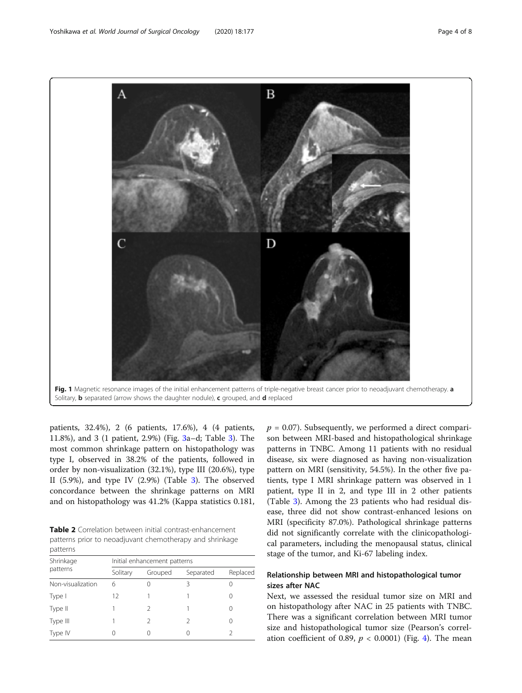<span id="page-3-0"></span>

patients, 32.4%), 2 (6 patients, 17.6%), 4 (4 patients, 11.8%), and 3 (1 patient, 2.9%) (Fig. [3a](#page-5-0)–d; Table [3](#page-5-0)). The most common shrinkage pattern on histopathology was type I, observed in 38.2% of the patients, followed in order by non-visualization (32.1%), type III (20.6%), type II (5.9%), and type IV (2.9%) (Table [3](#page-5-0)). The observed concordance between the shrinkage patterns on MRI and on histopathology was 41.2% (Kappa statistics 0.181,

Table 2 Correlation between initial contrast-enhancement patterns prior to neoadjuvant chemotherapy and shrinkage patterns

| Shrinkage<br>patterns |          | Initial enhancement patterns |           |          |  |  |
|-----------------------|----------|------------------------------|-----------|----------|--|--|
|                       | Solitary | Grouped                      | Separated | Replaced |  |  |
| Non-visualization     | 6        |                              | Κ         |          |  |  |
| Type I                | 12       |                              |           |          |  |  |
| Type II               |          |                              |           |          |  |  |
| Type III              |          |                              |           |          |  |  |
| Type IV               |          |                              |           |          |  |  |

 $p = 0.07$ ). Subsequently, we performed a direct comparison between MRI-based and histopathological shrinkage patterns in TNBC. Among 11 patients with no residual disease, six were diagnosed as having non-visualization pattern on MRI (sensitivity, 54.5%). In the other five patients, type I MRI shrinkage pattern was observed in 1 patient, type II in 2, and type III in 2 other patients (Table [3](#page-5-0)). Among the 23 patients who had residual disease, three did not show contrast-enhanced lesions on MRI (specificity 87.0%). Pathological shrinkage patterns did not significantly correlate with the clinicopathological parameters, including the menopausal status, clinical stage of the tumor, and Ki-67 labeling index.

# Relationship between MRI and histopathological tumor sizes after NAC

Next, we assessed the residual tumor size on MRI and on histopathology after NAC in 25 patients with TNBC. There was a significant correlation between MRI tumor size and histopathological tumor size (Pearson's correlation coefficient of 0.89,  $p < 0.0001$ ) (Fig. [4](#page-6-0)). The mean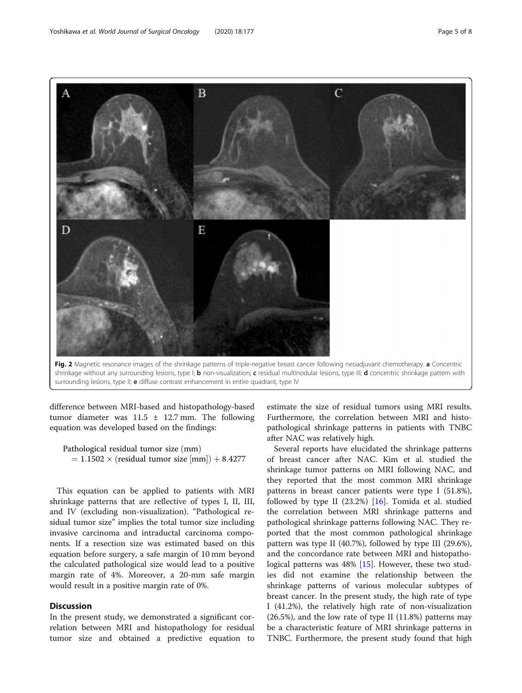<span id="page-4-0"></span>

surrounding lesions, type II; e diffuse contrast enhancement in entire quadrant, type IV

difference between MRI-based and histopathology-based tumor diameter was  $11.5 \pm 12.7$  mm. The following equation was developed based on the findings:

Pathological residual tumor size (mm)  $= 1.1502 \times (residual~tumor~size~[mm]) + 8.4277$ 

This equation can be applied to patients with MRI shrinkage patterns that are reflective of types I, II, III, and IV (excluding non-visualization). "Pathological residual tumor size" implies the total tumor size including invasive carcinoma and intraductal carcinoma components. If a resection size was estimated based on this equation before surgery, a safe margin of 10 mm beyond the calculated pathological size would lead to a positive margin rate of 4%. Moreover, a 20-mm safe margin would result in a positive margin rate of 0%.

# **Discussion**

In the present study, we demonstrated a significant correlation between MRI and histopathology for residual tumor size and obtained a predictive equation to

estimate the size of residual tumors using MRI results. Furthermore, the correlation between MRI and histopathological shrinkage patterns in patients with TNBC after NAC was relatively high.

Several reports have elucidated the shrinkage patterns of breast cancer after NAC. Kim et al. studied the shrinkage tumor patterns on MRI following NAC, and they reported that the most common MRI shrinkage patterns in breast cancer patients were type I (51.8%), followed by type II (23.2%) [[16](#page-7-0)]. Tomida et al. studied the correlation between MRI shrinkage patterns and pathological shrinkage patterns following NAC. They reported that the most common pathological shrinkage pattern was type II (40.7%), followed by type III (29.6%), and the concordance rate between MRI and histopatho-logical patterns was 48% [\[15](#page-7-0)]. However, these two studies did not examine the relationship between the shrinkage patterns of various molecular subtypes of breast cancer. In the present study, the high rate of type I (41.2%), the relatively high rate of non-visualization (26.5%), and the low rate of type II (11.8%) patterns may be a characteristic feature of MRI shrinkage patterns in TNBC. Furthermore, the present study found that high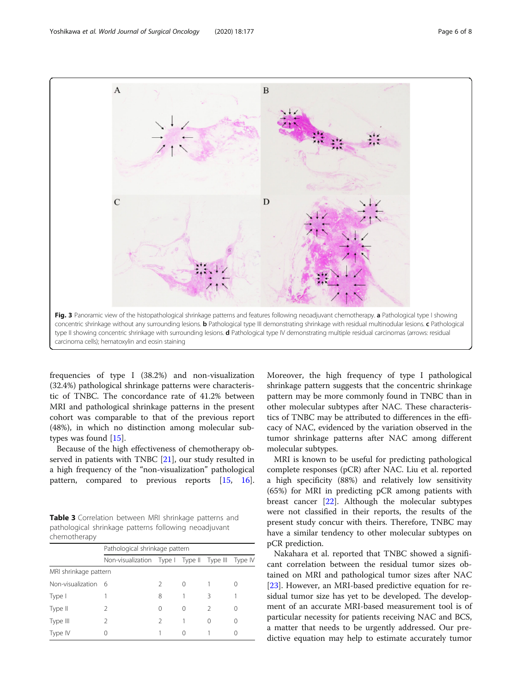<span id="page-5-0"></span>

frequencies of type I (38.2%) and non-visualization (32.4%) pathological shrinkage patterns were characteristic of TNBC. The concordance rate of 41.2% between MRI and pathological shrinkage patterns in the present cohort was comparable to that of the previous report (48%), in which no distinction among molecular subtypes was found [[15](#page-7-0)].

Because of the high effectiveness of chemotherapy observed in patients with TNBC [\[21\]](#page-7-0), our study resulted in a high frequency of the "non-visualization" pathological pattern, compared to previous reports [[15](#page-7-0), [16](#page-7-0)].

Table 3 Correlation between MRI shrinkage patterns and pathological shrinkage patterns following neoadjuvant chemotherapy

| Pathological shrinkage pattern |   |   |                  |                                                   |
|--------------------------------|---|---|------------------|---------------------------------------------------|
|                                |   |   |                  |                                                   |
| MRI shrinkage pattern          |   |   |                  |                                                   |
| Non-visualization 6            | 2 | 0 |                  | $\left( \right)$                                  |
|                                | 8 |   | 3                |                                                   |
| 2                              | 0 | ∩ | $\mathcal{P}$    | $\left( \right)$                                  |
| $\mathcal{P}$                  | 2 |   | $\left( \right)$ | $\left( \right)$                                  |
| 0                              |   | ∩ |                  | $\left( \right)$                                  |
|                                |   |   |                  | Non-visualization Type I Type II Type III Type IV |

Moreover, the high frequency of type I pathological shrinkage pattern suggests that the concentric shrinkage pattern may be more commonly found in TNBC than in other molecular subtypes after NAC. These characteristics of TNBC may be attributed to differences in the efficacy of NAC, evidenced by the variation observed in the tumor shrinkage patterns after NAC among different molecular subtypes.

MRI is known to be useful for predicting pathological complete responses (pCR) after NAC. Liu et al. reported a high specificity (88%) and relatively low sensitivity (65%) for MRI in predicting pCR among patients with breast cancer [[22](#page-7-0)]. Although the molecular subtypes were not classified in their reports, the results of the present study concur with theirs. Therefore, TNBC may have a similar tendency to other molecular subtypes on pCR prediction.

Nakahara et al. reported that TNBC showed a significant correlation between the residual tumor sizes obtained on MRI and pathological tumor sizes after NAC [[23\]](#page-7-0). However, an MRI-based predictive equation for residual tumor size has yet to be developed. The development of an accurate MRI-based measurement tool is of particular necessity for patients receiving NAC and BCS, a matter that needs to be urgently addressed. Our predictive equation may help to estimate accurately tumor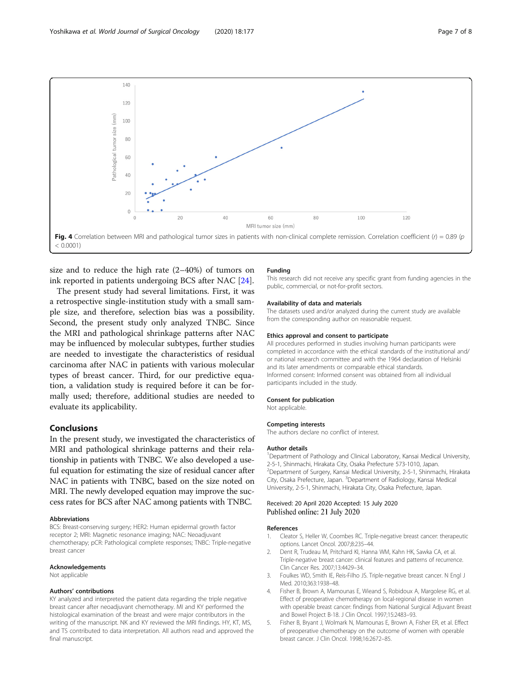<span id="page-6-0"></span>

size and to reduce the high rate (2–40%) of tumors on ink reported in patients undergoing BCS after NAC [[24\]](#page-7-0).

The present study had several limitations. First, it was a retrospective single-institution study with a small sample size, and therefore, selection bias was a possibility. Second, the present study only analyzed TNBC. Since the MRI and pathological shrinkage patterns after NAC may be influenced by molecular subtypes, further studies are needed to investigate the characteristics of residual carcinoma after NAC in patients with various molecular types of breast cancer. Third, for our predictive equation, a validation study is required before it can be formally used; therefore, additional studies are needed to evaluate its applicability.

# Conclusions

In the present study, we investigated the characteristics of MRI and pathological shrinkage patterns and their relationship in patients with TNBC. We also developed a useful equation for estimating the size of residual cancer after NAC in patients with TNBC, based on the size noted on MRI. The newly developed equation may improve the success rates for BCS after NAC among patients with TNBC.

### Abbreviations

BCS: Breast-conserving surgery; HER2: Human epidermal growth factor receptor 2; MRI: Magnetic resonance imaging; NAC: Neoadjuvant chemotherapy; pCR: Pathological complete responses; TNBC: Triple-negative breast cancer

#### Acknowledgements

Not applicable

# Authors' contributions

KY analyzed and interpreted the patient data regarding the triple negative breast cancer after neoadjuvant chemotherapy. MI and KY performed the histological examination of the breast and were major contributors in the writing of the manuscript. NK and KY reviewed the MRI findings. HY, KT, MS, and TS contributed to data interpretation. All authors read and approved the final manuscript.

## Funding

This research did not receive any specific grant from funding agencies in the public, commercial, or not-for-profit sectors.

#### Availability of data and materials

The datasets used and/or analyzed during the current study are available from the corresponding author on reasonable request.

#### Ethics approval and consent to participate

All procedures performed in studies involving human participants were completed in accordance with the ethical standards of the institutional and/ or national research committee and with the 1964 declaration of Helsinki and its later amendments or comparable ethical standards. Informed consent: Informed consent was obtained from all individual participants included in the study.

## Consent for publication

Not applicable.

#### Competing interests

The authors declare no conflict of interest.

#### Author details

<sup>1</sup>Department of Pathology and Clinical Laboratory, Kansai Medical University, 2-5-1, Shinmachi, Hirakata City, Osaka Prefecture 573-1010, Japan. 2 Department of Surgery, Kansai Medical University, 2-5-1, Shinmachi, Hirakata City, Osaka Prefecture, Japan. <sup>3</sup>Department of Radiology, Kansai Medical University, 2-5-1, Shinmachi, Hirakata City, Osaka Prefecture, Japan.

# Received: 20 April 2020 Accepted: 15 July 2020 Published online: 21 July 2020

#### References

- 1. Cleator S, Heller W, Coombes RC. Triple-negative breast cancer: therapeutic options. Lancet Oncol. 2007;8:235–44.
- 2. Dent R, Trudeau M, Pritchard KI, Hanna WM, Kahn HK, Sawka CA, et al. Triple-negative breast cancer: clinical features and patterns of recurrence. Clin Cancer Res. 2007;13:4429–34.
- 3. Foulkes WD, Smith IE, Reis-Filho JS. Triple-negative breast cancer. N Engl J Med. 2010;363:1938–48.
- 4. Fisher B, Brown A, Mamounas E, Wieand S, Robidoux A, Margolese RG, et al. Effect of preoperative chemotherapy on local-regional disease in women with operable breast cancer: findings from National Surgical Adjuvant Breast and Bowel Project B-18. J Clin Oncol. 1997;15:2483–93.
- Fisher B, Bryant J, Wolmark N, Mamounas E, Brown A, Fisher ER, et al. Effect of preoperative chemotherapy on the outcome of women with operable breast cancer. J Clin Oncol. 1998;16:2672–85.